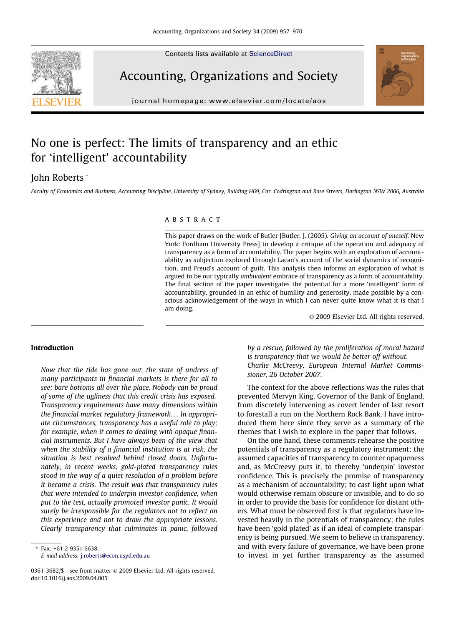Contents lists available at [ScienceDirect](http://www.sciencedirect.com/science/journal/03613682)





Accounting, Organizations and Society

journal homepage: [www.elsevier.com/locate/aos](http://www.elsevier.com/locate/aos)

## No one is perfect: The limits of transparency and an ethic for 'intelligent' accountability

### John Roberts \*

Faculty of Economics and Business, Accounting Discipline, University of Sydney, Building H69, Cnr. Codrington and Rose Streets, Darlington NSW 2006, Australia

#### **ABSTRACT**

This paper draws on the work of Butler [Butler, J. (2005). Giving an account of oneself. New York: Fordham University Press] to develop a critique of the operation and adequacy of transparency as a form of accountability. The paper begins with an exploration of accountability as subjection explored through Lacan's account of the social dynamics of recognition, and Freud's account of guilt. This analysis then informs an exploration of what is argued to be our typically ambivalent embrace of transparency as a form of accountability. The final section of the paper investigates the potential for a more 'intelligent' form of accountability, grounded in an ethic of humility and generosity, made possible by a conscious acknowledgement of the ways in which I can never quite know what it is that I am doing.

- 2009 Elsevier Ltd. All rights reserved.

#### Introduction

Now that the tide has gone out, the state of undress of many participants in financial markets is there for all to see: bare bottoms all over the place. Nobody can be proud of some of the ugliness that this credit crisis has exposed. Transparency requirements have many dimensions within the financial market regulatory framework... In appropriate circumstances, transparency has a useful role to play; for example, when it comes to dealing with opaque financial instruments. But I have always been of the view that when the stability of a financial institution is at risk, the situation is best resolved behind closed doors. Unfortunately, in recent weeks, gold-plated transparency rules stood in the way of a quiet resolution of a problem before it became a crisis. The result was that transparency rules that were intended to underpin investor confidence, when put to the test, actually promoted investor panic. It would surely be irresponsible for the regulators not to reflect on this experience and not to draw the appropriate lessons. Clearly transparency that culminates in panic, followed

\* Fax: +61 2 9351 6638. E-mail address: [j.roberts@econ.usyd.edu.au](mailto:j.roberts@econ.usyd.edu.au) by a rescue, followed by the proliferation of moral hazard is transparency that we would be better off without. Charlie McCreevy, European Internal Market Commissioner, 26 October 2007.

The context for the above reflections was the rules that prevented Mervyn King, Governor of the Bank of England, from discretely intervening as covert lender of last resort to forestall a run on the Northern Rock Bank. I have introduced them here since they serve as a summary of the themes that I wish to explore in the paper that follows.

On the one hand, these comments rehearse the positive potentials of transparency as a regulatory instrument; the assumed capacities of transparency to counter opaqueness and, as McCreevy puts it, to thereby 'underpin' investor confidence. This is precisely the promise of transparency as a mechanism of accountability; to cast light upon what would otherwise remain obscure or invisible, and to do so in order to provide the basis for confidence for distant others. What must be observed first is that regulators have invested heavily in the potentials of transparency; the rules have been 'gold plated' as if an ideal of complete transparency is being pursued. We seem to believe in transparency, and with every failure of governance, we have been prone to invest in yet further transparency as the assumed

<sup>0361-3682/\$ -</sup> see front matter © 2009 Elsevier Ltd. All rights reserved. doi:10.1016/j.aos.2009.04.005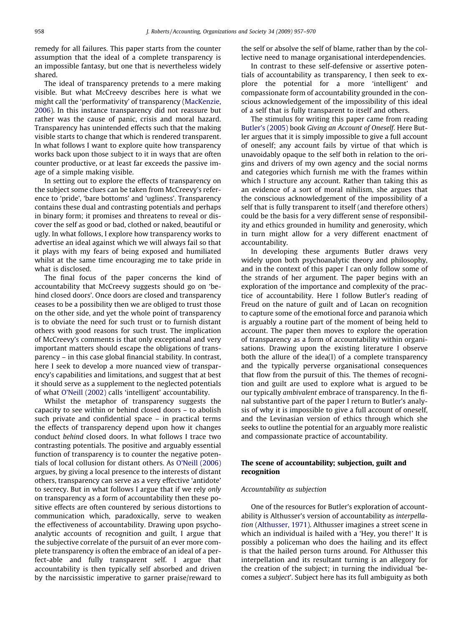remedy for all failures. This paper starts from the counter assumption that the ideal of a complete transparency is an impossible fantasy, but one that is nevertheless widely shared.

The ideal of transparency pretends to a mere making visible. But what McCreevy describes here is what we might call the 'performativity' of transparency [\(MacKenzie,](#page--1-0) [2006](#page--1-0)). In this instance transparency did not reassure but rather was the cause of panic, crisis and moral hazard. Transparency has unintended effects such that the making visible starts to change that which is rendered transparent. In what follows I want to explore quite how transparency works back upon those subject to it in ways that are often counter productive, or at least far exceeds the passive image of a simple making visible.

In setting out to explore the effects of transparency on the subject some clues can be taken from McCreevy's reference to 'pride', 'bare bottoms' and 'ugliness'. Transparency contains these dual and contrasting potentials and perhaps in binary form; it promises and threatens to reveal or discover the self as good or bad, clothed or naked, beautiful or ugly. In what follows, I explore how transparency works to advertise an ideal against which we will always fail so that it plays with my fears of being exposed and humiliated whilst at the same time encouraging me to take pride in what is disclosed.

The final focus of the paper concerns the kind of accountability that McCreevy suggests should go on 'behind closed doors'. Once doors are closed and transparency ceases to be a possibility then we are obliged to trust those on the other side, and yet the whole point of transparency is to obviate the need for such trust or to furnish distant others with good reasons for such trust. The implication of McCreevy's comments is that only exceptional and very important matters should escape the obligations of transparency – in this case global financial stability. In contrast, here I seek to develop a more nuanced view of transparency's capabilities and limitations, and suggest that at best it should serve as a supplement to the neglected potentials of what [O'Neill \(2002\)](#page--1-0) calls 'intelligent' accountability.

Whilst the metaphor of transparency suggests the capacity to see within or behind closed doors – to abolish such private and confidential space – in practical terms the effects of transparency depend upon how it changes conduct behind closed doors. In what follows I trace two contrasting potentials. The positive and arguably essential function of transparency is to counter the negative potentials of local collusion for distant others. As [O'Neill \(2006\)](#page--1-0) argues, by giving a local presence to the interests of distant others, transparency can serve as a very effective 'antidote' to secrecy. But in what follows I argue that if we rely only on transparency as a form of accountability then these positive effects are often countered by serious distortions to communication which, paradoxically, serve to weaken the effectiveness of accountability. Drawing upon psychoanalytic accounts of recognition and guilt, I argue that the subjective correlate of the pursuit of an ever more complete transparency is often the embrace of an ideal of a perfect-able and fully transparent self. I argue that accountability is then typically self absorbed and driven by the narcissistic imperative to garner praise/reward to

the self or absolve the self of blame, rather than by the collective need to manage organisational interdependencies.

In contrast to these self-defensive or assertive potentials of accountability as transparency, I then seek to explore the potential for a more 'intelligent' and compassionate form of accountability grounded in the conscious acknowledgement of the impossibility of this ideal of a self that is fully transparent to itself and others.

The stimulus for writing this paper came from reading [Butler's \(2005\)](#page--1-0) book Giving an Account of Oneself. Here Butler argues that it is simply impossible to give a full account of oneself; any account fails by virtue of that which is unavoidably opaque to the self both in relation to the origins and drivers of my own agency and the social norms and categories which furnish me with the frames within which I structure any account. Rather than taking this as an evidence of a sort of moral nihilism, she argues that the conscious acknowledgement of the impossibility of a self that is fully transparent to itself (and therefore others) could be the basis for a very different sense of responsibility and ethics grounded in humility and generosity, which in turn might allow for a very different enactment of accountability.

In developing these arguments Butler draws very widely upon both psychoanalytic theory and philosophy, and in the context of this paper I can only follow some of the strands of her argument. The paper begins with an exploration of the importance and complexity of the practice of accountability. Here I follow Butler's reading of Freud on the nature of guilt and of Lacan on recognition to capture some of the emotional force and paranoia which is arguably a routine part of the moment of being held to account. The paper then moves to explore the operation of transparency as a form of accountability within organisations. Drawing upon the existing literature I observe both the allure of the idea(l) of a complete transparency and the typically perverse organisational consequences that flow from the pursuit of this. The themes of recognition and guilt are used to explore what is argued to be our typically ambivalent embrace of transparency. In the final substantive part of the paper I return to Butler's analysis of why it is impossible to give a full account of oneself, and the Levinasian version of ethics through which she seeks to outline the potential for an arguably more realistic and compassionate practice of accountability.

#### The scene of accountability; subjection, guilt and recognition

#### Accountability as subjection

One of the resources for Butler's exploration of accountability is Althusser's version of accountability as interpellation ([Althusser, 1971\)](#page--1-0). Althusser imagines a street scene in which an individual is hailed with a 'Hey, you there!' It is possibly a policeman who does the hailing and its effect is that the hailed person turns around. For Althusser this interpellation and its resultant turning is an allegory for the creation of the subject; in turning the individual 'becomes a subject'. Subject here has its full ambiguity as both